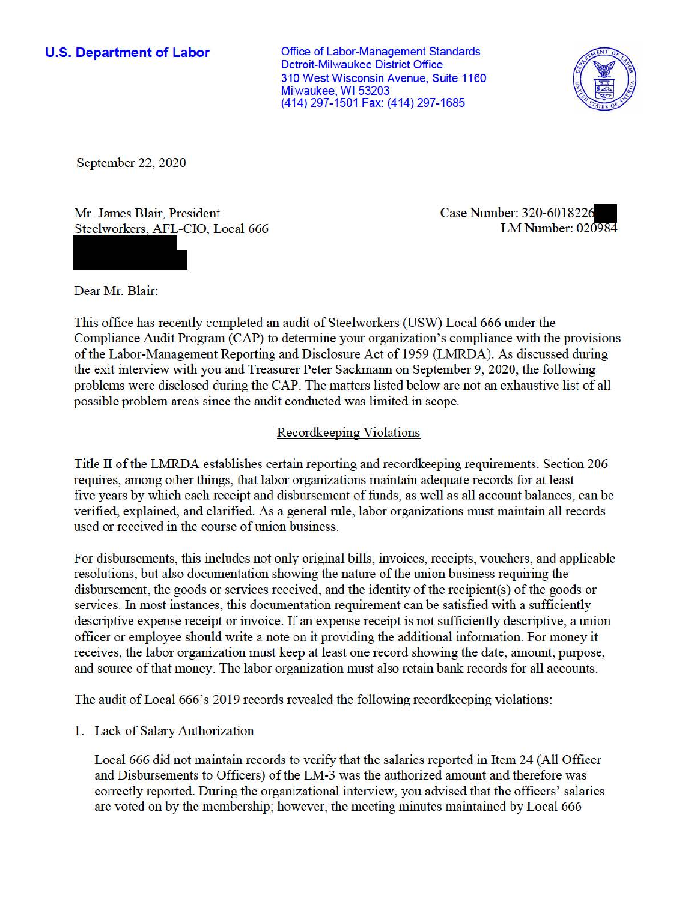**U.S. Department of Labor Conservative Conservation Conservation Conservation Conservation Conservation Conservation** Detroit-Milwaukee District Office 310 West Wisconsin Avenue, Suite 1160 Milwaukee, WI 53203 (414) 297-1501 Fax: (414) 297-1685



September 22, 2020

Mr. James Blair, President Steelworkers, AFL-CIO, Local 666 Case Number: 320-601822. LM Number: 020984

Dear Mr. Blair:

This office has recently completed an audit of Steelworkers (USW) Local 666 under the Compliance Audit Program (CAP) to determine your organization's compliance with the provisions of the Labor-Management Reporting and Disclosure Act of 1959 (LMRDA). As discussed during the exit interview with you and Treasurer Peter Sackmann on September 9, 2020, the following problems were disclosed during the CAP. The matters listed below are not an exhaustive list of all possible problem areas since the audit conducted was limited in scope.

# Recordkeeping Violations

Title II of the LMRDA establishes certain reporting and recordkeeping requirements. Section 206 requires, among other things, that labor organizations maintain adequate records for at least five years by which each receipt and disbursement of funds, as well as all account balances, can be verified, explained, and clarified. As a general rule, labor organizations must maintain all records used or received in the course of union business.

For disbursements, this includes not only original bills, invoices, receipts, vouchers, and applicable resolutions, but also documentation showing the nature of the union business requiring the disbursement, the goods or services received, and the identity of the recipient(s) of the goods or services. In most instances, this documentation requirement can be satisfied with a sufficiently descriptive expense receipt or invoice. If an expense receipt is not sufficiently descriptive, a union officer or employee should write a note on it providing the additional infonnation. For money it receives, the labor organization must keep at least one record showing the date, amount, purpose, and source ofthat money. The labor organization must also retain bank records for all accounts.

The audit of Local 666's 2019 records revealed the following record keeping violations:

1. Lack of Salary Authorization

Local 666 did not maintain records to verify that the salaries reported in Item 24 (All Officer and Disbursements to Officers) of the LM-3 was the authorized amount and therefore was correctly reported. During the organizational interview, you advised that the officers' salaries are voted on by the membership; however, the meeting minutes maintained by Local 666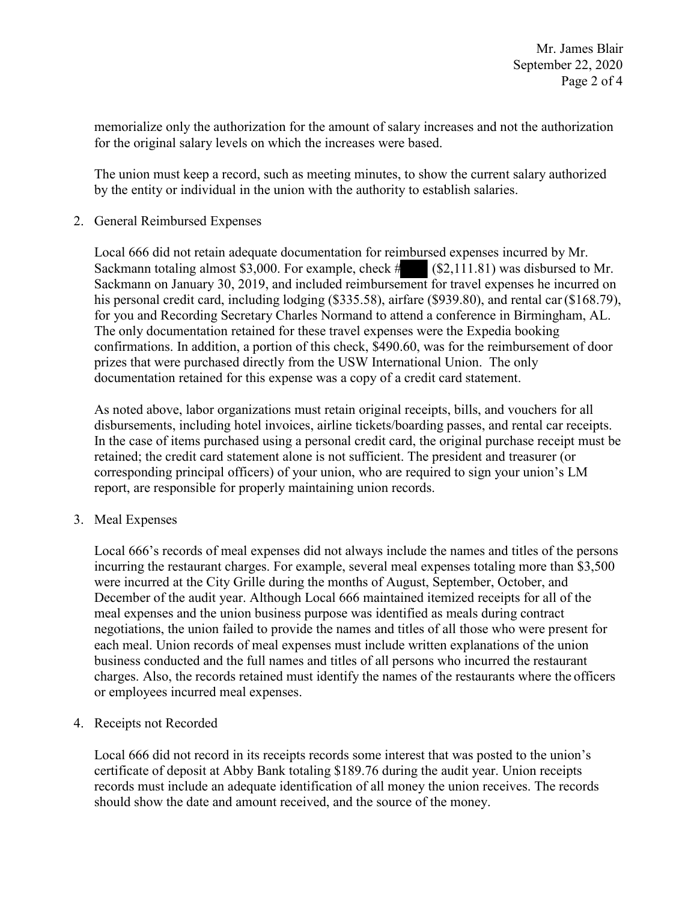memorialize only the authorization for the amount of salary increases and not the authorization for the original salary levels on which the increases were based.

The union must keep a record, such as meeting minutes, to show the current salary authorized by the entity or individual in the union with the authority to establish salaries.

2. General Reimbursed Expenses

 documentation retained for this expense was a copy of a credit card statement. Local 666 did not retain adequate documentation for reimbursed expenses incurred by Mr.<br>Sackmann totaling almost \$3,000. For example, check # (\$2,111.81) was disbursed to Mr.<br>Sackmann on January 30, 2019, and included reim Local 666 did not retain adequate documentation for reimbursed expenses incurred by Mr. Sackmann totaling almost \$3,000. For example, check  $\#$  (\$[2,111.81\)](https://2,111.81) was disbursed to Mr. Sackmann on January 30, 2019, and included reimbursement for travel expenses he incurred on for you and Recording Secretary Charles Normand to attend a conference in Birmingham, AL. The only documentation retained for these travel expenses were the Expedia booking confirmations. In addition, a portion of this check, \$490.60, was for the reimbursement of door prizes that were purchased directly from the USW International Union. The only

 corresponding principal officers) of your union, who are required to sign your union's LM As noted above, labor organizations must retain original receipts, bills, and vouchers for all disbursements, including hotel invoices, airline tickets/boarding passes, and rental car receipts. In the case of items purchased using a personal credit card, the original purchase receipt must be retained; the credit card statement alone is not sufficient. The president and treasurer (or report, are responsible for properly maintaining union records.

3. Meal Expenses

 December of the audit year. Although Local 666 maintained itemized receipts for all of the or employees incurred meal expenses. Local 666's records of meal expenses did not always include the names and titles of the persons incurring the restaurant charges. For example, several meal expenses totaling more than \$3,500 were incurred at the City Grille during the months of August, September, October, and meal expenses and the union business purpose was identified as meals during contract negotiations, the union failed to provide the names and titles of all those who were present for each meal. Union records of meal expenses must include written explanations of the union business conducted and the full names and titles of all persons who incurred the restaurant charges. Also, the records retained must identify the names of the restaurants where the officers

4. Receipts not Recorded

 certificate of deposit at Abby Bank totaling \$189.76 during the audit year. Union receipts Local 666 did not record in its receipts records some interest that was posted to the union's records must include an adequate identification of all money the union receives. The records should show the date and amount received, and the source of the money.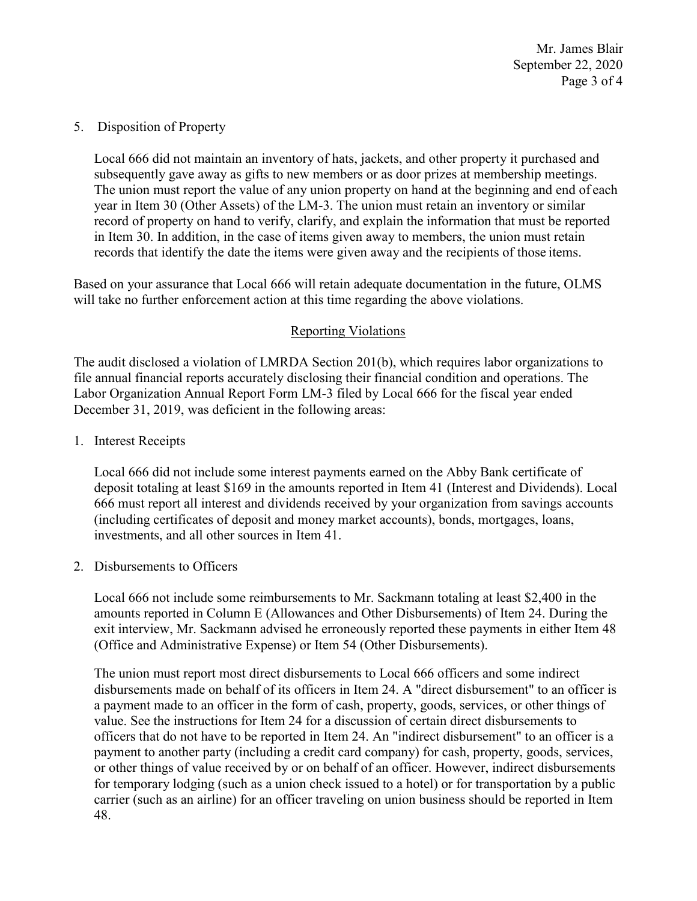Mr. James Blair September 22, 2020 Page 3 of 4

## 5. Disposition of Property

 subsequently gave away as gifts to new members or as door prizes at membership meetings. records that identify the date the items were given away and the recipients of those items. Local 666 did not maintain an inventory of hats, jackets, and other property it purchased and The union must report the value of any union property on hand at the beginning and end of each year in Item 30 (Other Assets) of the LM-3. The union must retain an inventory or similar record of property on hand to verify, clarify, and explain the information that must be reported in Item 30. In addition, in the case of items given away to members, the union must retain

 Based on your assurance that Local 666 will retain adequate documentation in the future, OLMS will take no further enforcement action at this time regarding the above violations.

## Reporting Violations

 Labor Organization Annual Report Form LM-3 filed by Local 666 for the fiscal year ended The audit disclosed a violation of LMRDA Section 201(b), which requires labor organizations to file annual financial reports accurately disclosing their financial condition and operations. The December 31, 2019, was deficient in the following areas:

1. Interest Receipts

Local 666 did not include some interest payments earned on the Abby Bank certificate of deposit totaling at least \$169 in the amounts reported in Item 41 (Interest and Dividends). Local 666 must report all interest and dividends received by your organization from savings accounts (including certificates of deposit and money market accounts), bonds, mortgages, loans, investments, and all other sources in Item 41.

## 2. Disbursements to Officers

Local 666 not include some reimbursements to Mr. Sackmann totaling at least \$2,400 in the amounts reported in Column E (Allowances and Other Disbursements) of Item 24. During the exit interview, Mr. Sackmann advised he erroneously reported these payments in either Item 48 (Office and Administrative Expense) or Item 54 (Other Disbursements).

 value. See the instructions for Item 24 for a discussion of certain direct disbursements to The union must report most direct disbursements to Local 666 officers and some indirect disbursements made on behalf of its officers in Item 24. A "direct disbursement" to an officer is a payment made to an officer in the form of cash, property, goods, services, or other things of officers that do not have to be reported in Item 24. An "indirect disbursement" to an officer is a payment to another party (including a credit card company) for cash, property, goods, services, or other things of value received by or on behalf of an officer. However, indirect disbursements for temporary lodging (such as a union check issued to a hotel) or for transportation by a public carrier (such as an airline) for an officer traveling on union business should be reported in Item 48.